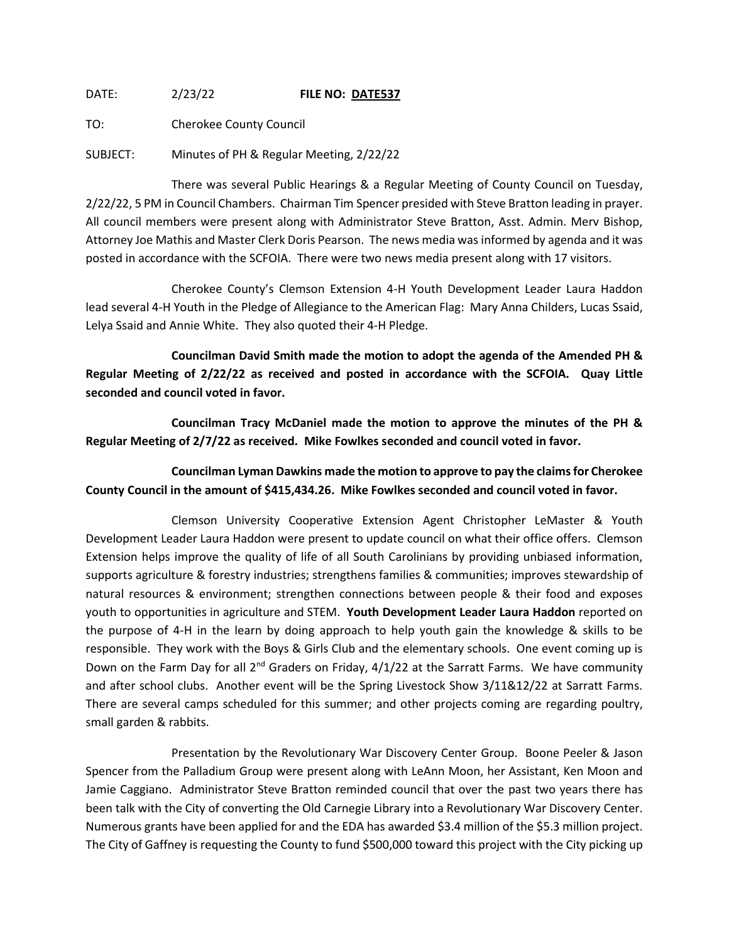DATE: 2/23/22 **FILE NO: DATE537**

TO: Cherokee County Council

SUBJECT: Minutes of PH & Regular Meeting, 2/22/22

There was several Public Hearings & a Regular Meeting of County Council on Tuesday, 2/22/22, 5 PM in Council Chambers. Chairman Tim Spencer presided with Steve Bratton leading in prayer. All council members were present along with Administrator Steve Bratton, Asst. Admin. Merv Bishop, Attorney Joe Mathis and Master Clerk Doris Pearson. The news media was informed by agenda and it was posted in accordance with the SCFOIA. There were two news media present along with 17 visitors.

Cherokee County's Clemson Extension 4-H Youth Development Leader Laura Haddon lead several 4-H Youth in the Pledge of Allegiance to the American Flag: Mary Anna Childers, Lucas Ssaid, Lelya Ssaid and Annie White. They also quoted their 4-H Pledge.

**Councilman David Smith made the motion to adopt the agenda of the Amended PH & Regular Meeting of 2/22/22 as received and posted in accordance with the SCFOIA. Quay Little seconded and council voted in favor.**

**Councilman Tracy McDaniel made the motion to approve the minutes of the PH & Regular Meeting of 2/7/22 as received. Mike Fowlkes seconded and council voted in favor.**

**Councilman Lyman Dawkins made the motion to approve to pay the claims for Cherokee County Council in the amount of \$415,434.26. Mike Fowlkes seconded and council voted in favor.**

Clemson University Cooperative Extension Agent Christopher LeMaster & Youth Development Leader Laura Haddon were present to update council on what their office offers. Clemson Extension helps improve the quality of life of all South Carolinians by providing unbiased information, supports agriculture & forestry industries; strengthens families & communities; improves stewardship of natural resources & environment; strengthen connections between people & their food and exposes youth to opportunities in agriculture and STEM. **Youth Development Leader Laura Haddon** reported on the purpose of 4-H in the learn by doing approach to help youth gain the knowledge & skills to be responsible. They work with the Boys & Girls Club and the elementary schools. One event coming up is Down on the Farm Day for all  $2^{nd}$  Graders on Friday,  $4/1/22$  at the Sarratt Farms. We have community and after school clubs. Another event will be the Spring Livestock Show 3/11&12/22 at Sarratt Farms. There are several camps scheduled for this summer; and other projects coming are regarding poultry, small garden & rabbits.

Presentation by the Revolutionary War Discovery Center Group. Boone Peeler & Jason Spencer from the Palladium Group were present along with LeAnn Moon, her Assistant, Ken Moon and Jamie Caggiano. Administrator Steve Bratton reminded council that over the past two years there has been talk with the City of converting the Old Carnegie Library into a Revolutionary War Discovery Center. Numerous grants have been applied for and the EDA has awarded \$3.4 million of the \$5.3 million project. The City of Gaffney is requesting the County to fund \$500,000 toward this project with the City picking up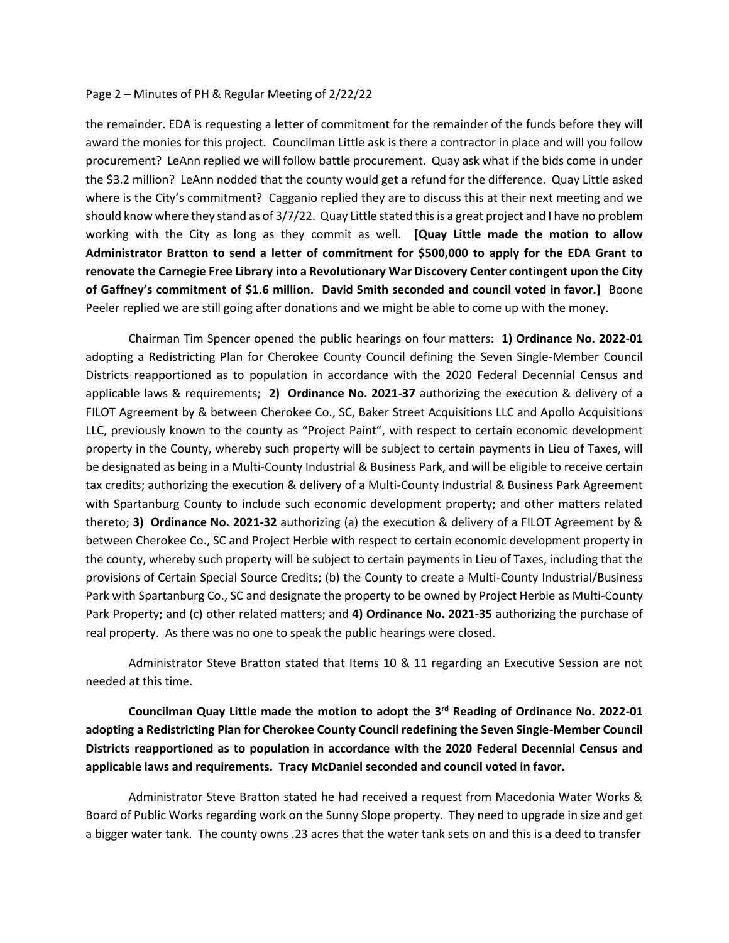## Page 2 – Minutes of PH & Regular Meeting of 2/22/22

the remainder. EDA is requesting a letter of commitment for the remainder of the funds before they will award the monies for this project. Councilman Little ask is there a contractor in place and will you follow procurement? LeAnn replied we will follow battle procurement. Quay ask what if the bids come in under the \$3.2 million? LeAnn nodded that the county would get a refund for the difference. Quay Little asked where is the City's commitment? Cagganio replied they are to discuss this at their next meeting and we should know where they stand as of 3/7/22. Quay Little stated this is a great project and I have no problem working with the City as long as they commit as well. **[Quay Little made the motion to allow Administrator Bratton to send a letter of commitment for \$500,000 to apply for the EDA Grant to renovate the Carnegie Free Library into a Revolutionary War Discovery Center contingent upon the City of Gaffney's commitment of \$1.6 million. David Smith seconded and council voted in favor.]** Boone Peeler replied we are still going after donations and we might be able to come up with the money.

Chairman Tim Spencer opened the public hearings on four matters: **1) Ordinance No. 2022-01** adopting a Redistricting Plan for Cherokee County Council defining the Seven Single-Member Council Districts reapportioned as to population in accordance with the 2020 Federal Decennial Census and applicable laws & requirements; **2) Ordinance No. 2021-37** authorizing the execution & delivery of a FILOT Agreement by & between Cherokee Co., SC, Baker Street Acquisitions LLC and Apollo Acquisitions LLC, previously known to the county as "Project Paint", with respect to certain economic development property in the County, whereby such property will be subject to certain payments in Lieu of Taxes, will be designated as being in a Multi-County Industrial & Business Park, and will be eligible to receive certain tax credits; authorizing the execution & delivery of a Multi-County Industrial & Business Park Agreement with Spartanburg County to include such economic development property; and other matters related thereto; **3) Ordinance No. 2021-32** authorizing (a) the execution & delivery of a FILOT Agreement by & between Cherokee Co., SC and Project Herbie with respect to certain economic development property in the county, whereby such property will be subject to certain payments in Lieu of Taxes, including that the provisions of Certain Special Source Credits; (b) the County to create a Multi-County Industrial/Business Park with Spartanburg Co., SC and designate the property to be owned by Project Herbie as Multi-County Park Property; and (c) other related matters; and **4) Ordinance No. 2021-35** authorizing the purchase of real property. As there was no one to speak the public hearings were closed.

Administrator Steve Bratton stated that Items 10 & 11 regarding an Executive Session are not needed at this time.

**Councilman Quay Little made the motion to adopt the 3rd Reading of Ordinance No. 2022-01 adopting a Redistricting Plan for Cherokee County Council redefining the Seven Single-Member Council Districts reapportioned as to population in accordance with the 2020 Federal Decennial Census and applicable laws and requirements. Tracy McDaniel seconded and council voted in favor.**

Administrator Steve Bratton stated he had received a request from Macedonia Water Works & Board of Public Works regarding work on the Sunny Slope property. They need to upgrade in size and get a bigger water tank. The county owns .23 acres that the water tank sets on and this is a deed to transfer